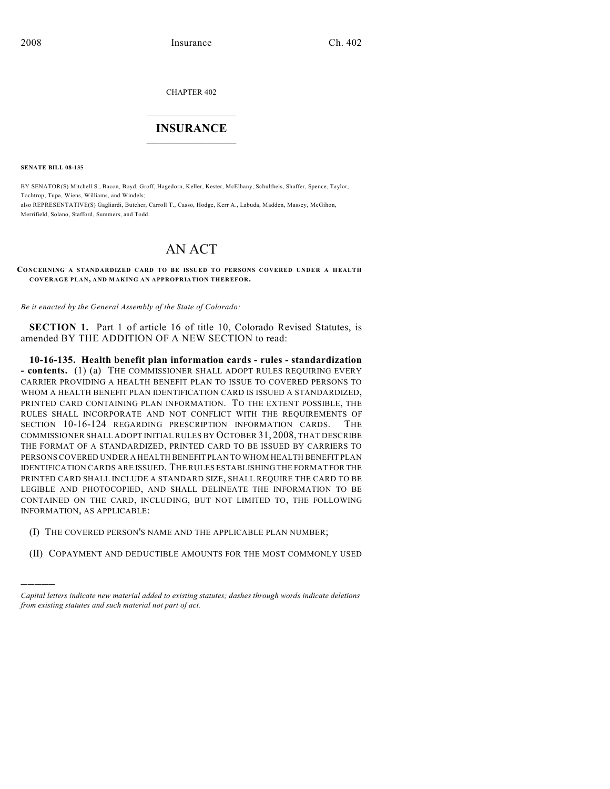CHAPTER 402

## $\mathcal{L}_\text{max}$  . The set of the set of the set of the set of the set of the set of the set of the set of the set of the set of the set of the set of the set of the set of the set of the set of the set of the set of the set **INSURANCE**  $\frac{1}{2}$  ,  $\frac{1}{2}$  ,  $\frac{1}{2}$  ,  $\frac{1}{2}$  ,  $\frac{1}{2}$  ,  $\frac{1}{2}$  ,  $\frac{1}{2}$

**SENATE BILL 08-135**

)))))

BY SENATOR(S) Mitchell S., Bacon, Boyd, Groff, Hagedorn, Keller, Kester, McElhany, Schultheis, Shaffer, Spence, Taylor, Tochtrop, Tupa, Wiens, Williams, and Windels; also REPRESENTATIVE(S) Gagliardi, Butcher, Carroll T., Casso, Hodge, Kerr A., Labuda, Madden, Massey, McGihon, Merrifield, Solano, Stafford, Summers, and Todd.

## AN ACT

**CONCERNING A STANDARDIZED CARD TO BE ISSUED TO PERSONS COVERED UNDER A HEALTH COVERAGE PLAN, AND MAKING AN APPROPRIATION THEREFOR.**

*Be it enacted by the General Assembly of the State of Colorado:*

**SECTION 1.** Part 1 of article 16 of title 10, Colorado Revised Statutes, is amended BY THE ADDITION OF A NEW SECTION to read:

**10-16-135. Health benefit plan information cards - rules - standardization - contents.** (1) (a) THE COMMISSIONER SHALL ADOPT RULES REQUIRING EVERY CARRIER PROVIDING A HEALTH BENEFIT PLAN TO ISSUE TO COVERED PERSONS TO WHOM A HEALTH BENEFIT PLAN IDENTIFICATION CARD IS ISSUED A STANDARDIZED, PRINTED CARD CONTAINING PLAN INFORMATION. TO THE EXTENT POSSIBLE, THE RULES SHALL INCORPORATE AND NOT CONFLICT WITH THE REQUIREMENTS OF SECTION 10-16-124 REGARDING PRESCRIPTION INFORMATION CARDS. THE COMMISSIONER SHALL ADOPT INITIAL RULES BY OCTOBER 31, 2008, THAT DESCRIBE THE FORMAT OF A STANDARDIZED, PRINTED CARD TO BE ISSUED BY CARRIERS TO PERSONS COVERED UNDER A HEALTH BENEFIT PLAN TO WHOM HEALTH BENEFIT PLAN IDENTIFICATION CARDS ARE ISSUED. THE RULES ESTABLISHING THE FORMAT FOR THE PRINTED CARD SHALL INCLUDE A STANDARD SIZE, SHALL REQUIRE THE CARD TO BE LEGIBLE AND PHOTOCOPIED, AND SHALL DELINEATE THE INFORMATION TO BE CONTAINED ON THE CARD, INCLUDING, BUT NOT LIMITED TO, THE FOLLOWING INFORMATION, AS APPLICABLE:

- (I) THE COVERED PERSON'S NAME AND THE APPLICABLE PLAN NUMBER;
- (II) COPAYMENT AND DEDUCTIBLE AMOUNTS FOR THE MOST COMMONLY USED

*Capital letters indicate new material added to existing statutes; dashes through words indicate deletions from existing statutes and such material not part of act.*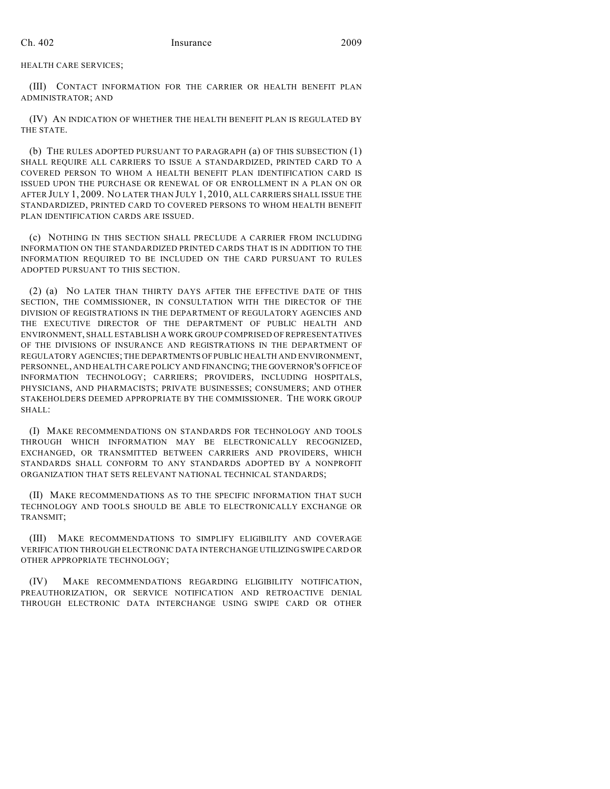HEALTH CARE SERVICES;

(III) CONTACT INFORMATION FOR THE CARRIER OR HEALTH BENEFIT PLAN ADMINISTRATOR; AND

(IV) AN INDICATION OF WHETHER THE HEALTH BENEFIT PLAN IS REGULATED BY THE STATE.

(b) THE RULES ADOPTED PURSUANT TO PARAGRAPH (a) OF THIS SUBSECTION (1) SHALL REQUIRE ALL CARRIERS TO ISSUE A STANDARDIZED, PRINTED CARD TO A COVERED PERSON TO WHOM A HEALTH BENEFIT PLAN IDENTIFICATION CARD IS ISSUED UPON THE PURCHASE OR RENEWAL OF OR ENROLLMENT IN A PLAN ON OR AFTER JULY 1, 2009. NO LATER THAN JULY 1, 2010, ALL CARRIERS SHALL ISSUE THE STANDARDIZED, PRINTED CARD TO COVERED PERSONS TO WHOM HEALTH BENEFIT PLAN IDENTIFICATION CARDS ARE ISSUED.

(c) NOTHING IN THIS SECTION SHALL PRECLUDE A CARRIER FROM INCLUDING INFORMATION ON THE STANDARDIZED PRINTED CARDS THAT IS IN ADDITION TO THE INFORMATION REQUIRED TO BE INCLUDED ON THE CARD PURSUANT TO RULES ADOPTED PURSUANT TO THIS SECTION.

(2) (a) NO LATER THAN THIRTY DAYS AFTER THE EFFECTIVE DATE OF THIS SECTION, THE COMMISSIONER, IN CONSULTATION WITH THE DIRECTOR OF THE DIVISION OF REGISTRATIONS IN THE DEPARTMENT OF REGULATORY AGENCIES AND THE EXECUTIVE DIRECTOR OF THE DEPARTMENT OF PUBLIC HEALTH AND ENVIRONMENT, SHALL ESTABLISH A WORK GROUP COMPRISED OF REPRESENTATIVES OF THE DIVISIONS OF INSURANCE AND REGISTRATIONS IN THE DEPARTMENT OF REGULATORY AGENCIES; THE DEPARTMENTS OF PUBLIC HEALTH AND ENVIRONMENT, PERSONNEL, AND HEALTH CARE POLICY AND FINANCING; THE GOVERNOR'S OFFICE OF INFORMATION TECHNOLOGY; CARRIERS; PROVIDERS, INCLUDING HOSPITALS, PHYSICIANS, AND PHARMACISTS; PRIVATE BUSINESSES; CONSUMERS; AND OTHER STAKEHOLDERS DEEMED APPROPRIATE BY THE COMMISSIONER. THE WORK GROUP SHALL:

(I) MAKE RECOMMENDATIONS ON STANDARDS FOR TECHNOLOGY AND TOOLS THROUGH WHICH INFORMATION MAY BE ELECTRONICALLY RECOGNIZED, EXCHANGED, OR TRANSMITTED BETWEEN CARRIERS AND PROVIDERS, WHICH STANDARDS SHALL CONFORM TO ANY STANDARDS ADOPTED BY A NONPROFIT ORGANIZATION THAT SETS RELEVANT NATIONAL TECHNICAL STANDARDS;

(II) MAKE RECOMMENDATIONS AS TO THE SPECIFIC INFORMATION THAT SUCH TECHNOLOGY AND TOOLS SHOULD BE ABLE TO ELECTRONICALLY EXCHANGE OR TRANSMIT;

(III) MAKE RECOMMENDATIONS TO SIMPLIFY ELIGIBILITY AND COVERAGE VERIFICATION THROUGH ELECTRONIC DATA INTERCHANGE UTILIZING SWIPE CARD OR OTHER APPROPRIATE TECHNOLOGY;

(IV) MAKE RECOMMENDATIONS REGARDING ELIGIBILITY NOTIFICATION, PREAUTHORIZATION, OR SERVICE NOTIFICATION AND RETROACTIVE DENIAL THROUGH ELECTRONIC DATA INTERCHANGE USING SWIPE CARD OR OTHER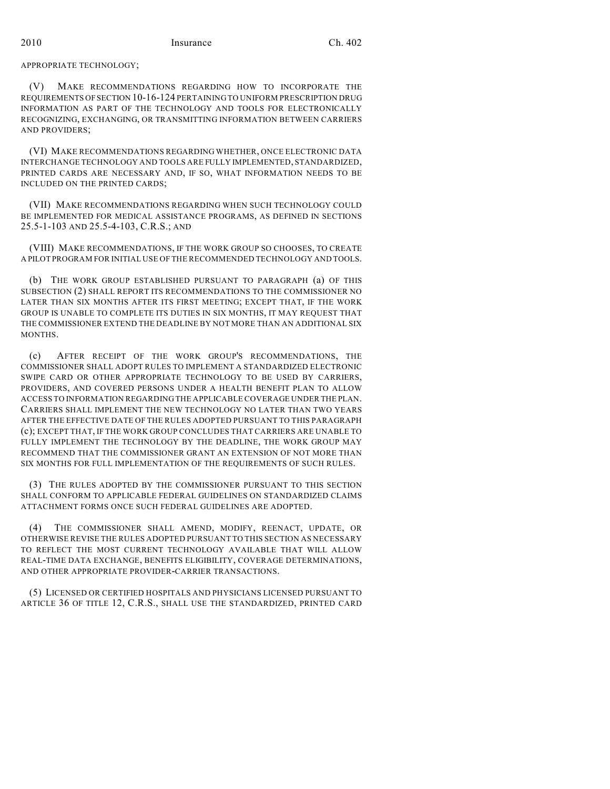APPROPRIATE TECHNOLOGY;

(V) MAKE RECOMMENDATIONS REGARDING HOW TO INCORPORATE THE REQUIREMENTS OF SECTION 10-16-124 PERTAINING TO UNIFORM PRESCRIPTION DRUG INFORMATION AS PART OF THE TECHNOLOGY AND TOOLS FOR ELECTRONICALLY RECOGNIZING, EXCHANGING, OR TRANSMITTING INFORMATION BETWEEN CARRIERS AND PROVIDERS;

(VI) MAKE RECOMMENDATIONS REGARDING WHETHER, ONCE ELECTRONIC DATA INTERCHANGE TECHNOLOGY AND TOOLS ARE FULLY IMPLEMENTED, STANDARDIZED, PRINTED CARDS ARE NECESSARY AND, IF SO, WHAT INFORMATION NEEDS TO BE INCLUDED ON THE PRINTED CARDS;

(VII) MAKE RECOMMENDATIONS REGARDING WHEN SUCH TECHNOLOGY COULD BE IMPLEMENTED FOR MEDICAL ASSISTANCE PROGRAMS, AS DEFINED IN SECTIONS 25.5-1-103 AND 25.5-4-103, C.R.S.; AND

(VIII) MAKE RECOMMENDATIONS, IF THE WORK GROUP SO CHOOSES, TO CREATE A PILOT PROGRAM FOR INITIAL USE OF THE RECOMMENDED TECHNOLOGY AND TOOLS.

(b) THE WORK GROUP ESTABLISHED PURSUANT TO PARAGRAPH (a) OF THIS SUBSECTION (2) SHALL REPORT ITS RECOMMENDATIONS TO THE COMMISSIONER NO LATER THAN SIX MONTHS AFTER ITS FIRST MEETING; EXCEPT THAT, IF THE WORK GROUP IS UNABLE TO COMPLETE ITS DUTIES IN SIX MONTHS, IT MAY REQUEST THAT THE COMMISSIONER EXTEND THE DEADLINE BY NOT MORE THAN AN ADDITIONAL SIX MONTHS.

(c) AFTER RECEIPT OF THE WORK GROUP'S RECOMMENDATIONS, THE COMMISSIONER SHALL ADOPT RULES TO IMPLEMENT A STANDARDIZED ELECTRONIC SWIPE CARD OR OTHER APPROPRIATE TECHNOLOGY TO BE USED BY CARRIERS, PROVIDERS, AND COVERED PERSONS UNDER A HEALTH BENEFIT PLAN TO ALLOW ACCESS TO INFORMATION REGARDING THE APPLICABLE COVERAGE UNDER THE PLAN. CARRIERS SHALL IMPLEMENT THE NEW TECHNOLOGY NO LATER THAN TWO YEARS AFTER THE EFFECTIVE DATE OF THE RULES ADOPTED PURSUANT TO THIS PARAGRAPH (c); EXCEPT THAT, IF THE WORK GROUP CONCLUDES THAT CARRIERS ARE UNABLE TO FULLY IMPLEMENT THE TECHNOLOGY BY THE DEADLINE, THE WORK GROUP MAY RECOMMEND THAT THE COMMISSIONER GRANT AN EXTENSION OF NOT MORE THAN SIX MONTHS FOR FULL IMPLEMENTATION OF THE REQUIREMENTS OF SUCH RULES.

(3) THE RULES ADOPTED BY THE COMMISSIONER PURSUANT TO THIS SECTION SHALL CONFORM TO APPLICABLE FEDERAL GUIDELINES ON STANDARDIZED CLAIMS ATTACHMENT FORMS ONCE SUCH FEDERAL GUIDELINES ARE ADOPTED.

(4) THE COMMISSIONER SHALL AMEND, MODIFY, REENACT, UPDATE, OR OTHERWISE REVISE THE RULES ADOPTED PURSUANT TO THIS SECTION AS NECESSARY TO REFLECT THE MOST CURRENT TECHNOLOGY AVAILABLE THAT WILL ALLOW REAL-TIME DATA EXCHANGE, BENEFITS ELIGIBILITY, COVERAGE DETERMINATIONS, AND OTHER APPROPRIATE PROVIDER-CARRIER TRANSACTIONS.

(5) LICENSED OR CERTIFIED HOSPITALS AND PHYSICIANS LICENSED PURSUANT TO ARTICLE 36 OF TITLE 12, C.R.S., SHALL USE THE STANDARDIZED, PRINTED CARD